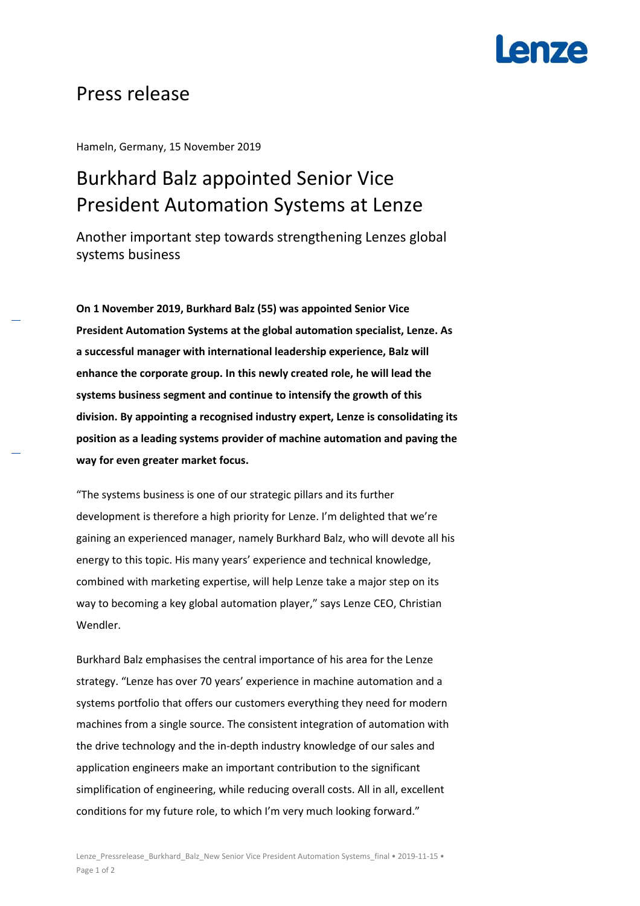# en7e

### Press release

Hameln, Germany, 15 November 2019

## Burkhard Balz appointed Senior Vice President Automation Systems at Lenze

Another important step towards strengthening Lenzes global systems business

**On 1 November 2019, Burkhard Balz (55) was appointed Senior Vice President Automation Systems at the global automation specialist, Lenze. As a successful manager with international leadership experience, Balz will enhance the corporate group. In this newly created role, he will lead the systems business segment and continue to intensify the growth of this division. By appointing a recognised industry expert, Lenze is consolidating its position as a leading systems provider of machine automation and paving the way for even greater market focus.** 

"The systems business is one of our strategic pillars and its further development is therefore a high priority for Lenze. I'm delighted that we're gaining an experienced manager, namely Burkhard Balz, who will devote all his energy to this topic. His many years' experience and technical knowledge, combined with marketing expertise, will help Lenze take a major step on its way to becoming a key global automation player," says Lenze CEO, Christian Wendler.

Burkhard Balz emphasises the central importance of his area for the Lenze strategy. "Lenze has over 70 years' experience in machine automation and a systems portfolio that offers our customers everything they need for modern machines from a single source. The consistent integration of automation with the drive technology and the in-depth industry knowledge of our sales and application engineers make an important contribution to the significant simplification of engineering, while reducing overall costs. All in all, excellent conditions for my future role, to which I'm very much looking forward."